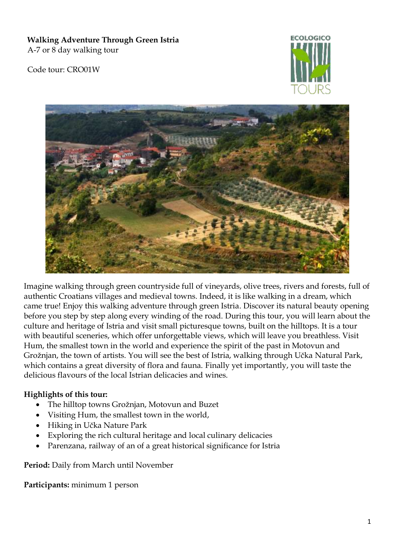**Walking Adventure Through Green Istria** A-7 or 8 day walking tour

Code tour: CRO01W





Imagine walking through green countryside full of vineyards, olive trees, rivers and forests, full of authentic Croatians villages and medieval towns. Indeed, it is like walking in a dream, which came true! Enjoy this walking adventure through green Istria. Discover its natural beauty opening before you step by step along every winding of the road. During this tour, you will learn about the culture and heritage of Istria and visit small picturesque towns, built on the hilltops. It is a tour with beautiful sceneries, which offer unforgettable views, which will leave you breathless. Visit Hum, the smallest town in the world and experience the spirit of the past in Motovun and Grožnjan, the town of artists. You will see the best of Istria, walking through Učka Natural Park, which contains a great diversity of flora and fauna. Finally yet importantly, you will taste the delicious flavours of the local Istrian delicacies and wines.

## **Highlights of this tour:**

- The hilltop towns Grožnjan, Motovun and Buzet
- Visiting Hum, the smallest town in the world,
- Hiking in Učka Nature Park
- Exploring the rich cultural heritage and local culinary delicacies
- Parenzana, railway of an of a great historical significance for Istria

**Period:** Daily from March until November

**Participants:** minimum 1 person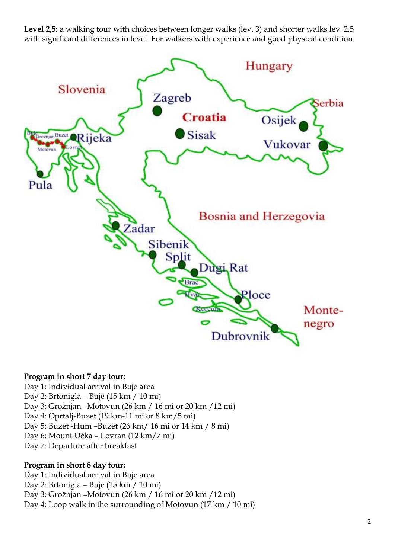**Level 2,5**: a walking tour with choices between longer walks (lev. 3) and shorter walks lev. 2,5 with significant differences in level. For walkers with experience and good physical condition.



### **Program in short 7 day tour:**

- Day 1: Individual arrival in Buje area
- Day 2: Brtonigla Buje (15 km / 10 mi)
- Day 3: Grožnjan –Motovun (26 km / 16 mi or 20 km /12 mi)
- Day 4: Oprtalj-Buzet (19 km-11 mi or 8 km/5 mi)
- Day 5: Buzet -Hum –Buzet (26 km/ 16 mi or 14 km / 8 mi)
- Day 6: Mount Učka Lovran (12 km/7 mi)
- Day 7: Departure after breakfast

## **Program in short 8 day tour:**

Day 1: Individual arrival in Buje area Day 2: Brtonigla – Buje (15 km / 10 mi) Day 3: Grožnjan –Motovun (26 km / 16 mi or 20 km /12 mi) Day 4: Loop walk in the surrounding of Motovun (17 km / 10 mi)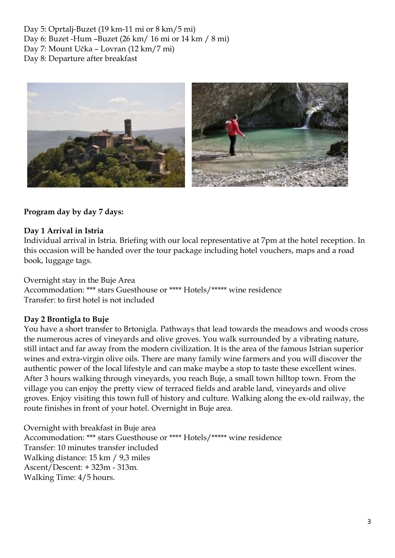Day 5: Oprtalj-Buzet (19 km-11 mi or 8 km/5 mi) Day 6: Buzet -Hum –Buzet (26 km/ 16 mi or 14 km / 8 mi) Day 7: Mount Učka – Lovran (12 km/7 mi) Day 8: Departure after breakfast



## **Program day by day 7 days:**

### **Day 1 Arrival in Istria**

Individual arrival in Istria. Briefing with our local representative at 7pm at the hotel reception. In this occasion will be handed over the tour package including hotel vouchers, maps and a road book, luggage tags.

Overnight stay in the Buje Area Accommodation: \*\*\* stars Guesthouse or \*\*\*\* Hotels/\*\*\*\*\* wine residence Transfer: to first hotel is not included

## **Day 2 Brontigla to Buje**

You have a short transfer to Brtonigla. Pathways that lead towards the meadows and woods cross the numerous acres of vineyards and olive groves. You walk surrounded by a vibrating nature, still intact and far away from the modern civilization. It is the area of the famous Istrian superior wines and extra-virgin olive oils. There are many family wine farmers and you will discover the authentic power of the local lifestyle and can make maybe a stop to taste these excellent wines. After 3 hours walking through vineyards, you reach Buje, a small town hilltop town. From the village you can enjoy the pretty view of terraced fields and arable land, vineyards and olive groves. Enjoy visiting this town full of history and culture. Walking along the ex-old railway, the route finishes in front of your hotel. Overnight in Buje area.

Overnight with breakfast in Buje area Accommodation: \*\*\* stars Guesthouse or \*\*\*\* Hotels/\*\*\*\*\* wine residence Transfer: 10 minutes transfer included Walking distance: 15 km / 9,3 miles Ascent/Descent: + 323m - 313m. Walking Time: 4/5 hours.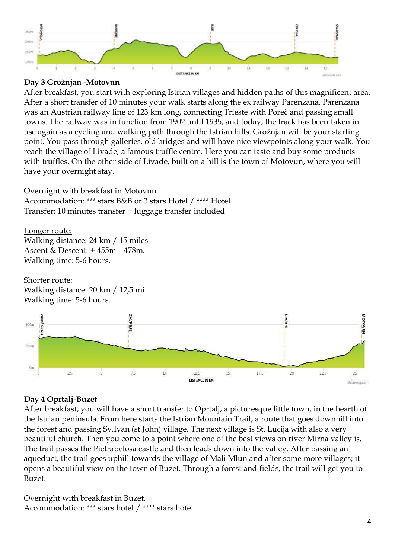

## **Day 3 Grožnjan -Motovun**

After breakfast, you start with exploring Istrian villages and hidden paths of this magnificent area. After a short transfer of 10 minutes your walk starts along the ex railway Parenzana. Parenzana was an Austrian railway line of 123 km long, connecting Trieste with Poreč and passing small towns. The railway was in function from 1902 until 1935, and today, the track has been taken in use again as a cycling and walking path through the Istrian hills. Grožnjan will be your starting point. You pass through galleries, old bridges and will have nice viewpoints along your walk. You reach the village of Livade, a famous truffle centre. Here you can taste and buy some products with truffles. On the other side of Livade, built on a hill is the town of Motovun, where you will have your overnight stay.

Overnight with breakfast in Motovun. Accommodation: \*\*\* stars B&B or 3 stars Hotel / \*\*\*\* Hotel Transfer: 10 minutes transfer + luggage transfer included

Longer route: Walking distance: 24 km / 15 miles Ascent & Descent: + 455m – 478m. Walking time: 5-6 hours.

Shorter route: Walking distance: 20 km / 12,5 mi Walking time: 5-6 hours.



# **Day 4 Oprtalj-Buzet**

After breakfast, you will have a short transfer to Oprtalj, a picturesque little town, in the hearth of the Istrian peninsula. From here starts the Istrian Mountain Trail, a route that goes downhill into the forest and passing Sv.Ivan (st.John) village. The next village is St. Lucija with also a very beautiful church. Then you come to a point where one of the best views on river Mirna valley is. The trail passes the Pietrapelosa castle and then leads down into the valley. After passing an aqueduct, the trail goes uphill towards the village of Mali Mlun and after some more villages; it opens a beautiful view on the town of Buzet. Through a forest and fields, the trail will get you to Buzet.

Overnight with breakfast in Buzet. Accommodation: \*\*\* stars hotel / \*\*\*\* stars hotel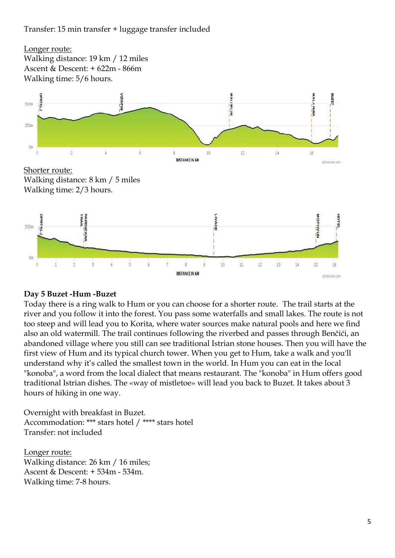Transfer: 15 min transfer + luggage transfer included



## **Day 5 Buzet -Hum -Buzet**

Today there is a ring walk to Hum or you can choose for a shorter route. The trail starts at the river and you follow it into the forest. You pass some waterfalls and small lakes. The route is not too steep and will lead you to Korita, where water sources make natural pools and here we find also an old watermill. The trail continues following the riverbed and passes through Benčići, an abandoned village where you still can see traditional Istrian stone houses. Then you will have the first view of Hum and its typical church tower. When you get to Hum, take a walk and you'll understand why it's called the smallest town in the world. In Hum you can eat in the local "konoba", a word from the local dialect that means restaurant. The "konoba" in Hum offers good traditional Istrian dishes. The «way of mistletoe» will lead you back to Buzet. It takes about 3 hours of hiking in one way.

Overnight with breakfast in Buzet. Accommodation: \*\*\* stars hotel / \*\*\*\* stars hotel Transfer: not included

Longer route: Walking distance: 26 km / 16 miles; Ascent & Descent: + 534m - 534m. Walking time: 7-8 hours.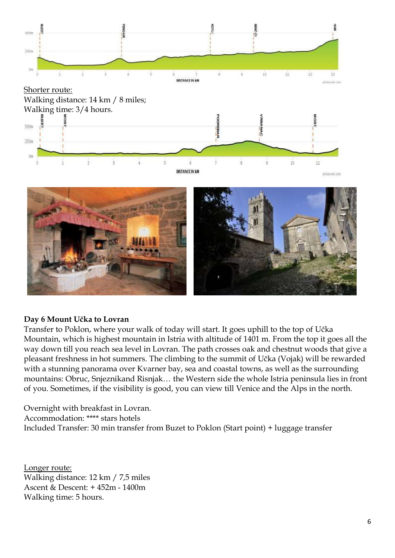



DISTANCE IN KM

### **Day 6 Mount Učka to Lovran**

Transfer to Poklon, where your walk of today will start. It goes uphill to the top of Učka Mountain, which is highest mountain in Istria with altitude of 1401 m. From the top it goes all the way down till you reach sea level in Lovran. The path crosses oak and chestnut woods that give a pleasant freshness in hot summers. The climbing to the summit of Učka (Vojak) will be rewarded with a stunning panorama over Kvarner bay, sea and coastal towns, as well as the surrounding mountains: Obruc, Snjeznikand Risnjak… the Western side the whole Istria peninsula lies in front of you. Sometimes, if the visibility is good, you can view till Venice and the Alps in the north.

Overnight with breakfast in Lovran. Accommodation: \*\*\*\* stars hotels Included Transfer: 30 min transfer from Buzet to Poklon (Start point) + luggage transfer

Longer route: Walking distance: 12 km / 7,5 miles Ascent & Descent: + 452m - 1400m Walking time: 5 hours.

plates at use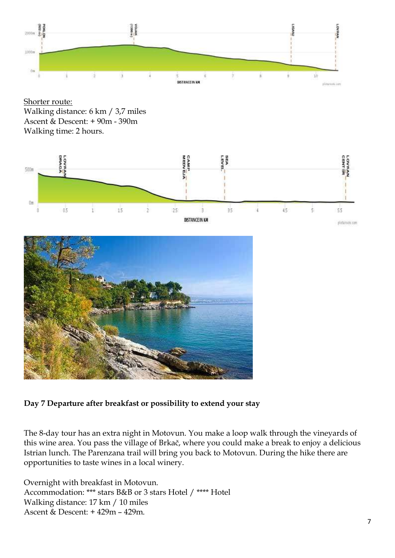

Shorter route: Walking distance: 6 km / 3,7 miles Ascent & Descent: + 90m - 390m Walking time: 2 hours.





# **Day 7 Departure after breakfast or possibility to extend your stay**

The 8-day tour has an extra night in Motovun. You make a loop walk through the vineyards of this wine area. You pass the village of Brkač, where you could make a break to enjoy a delicious Istrian lunch. The Parenzana trail will bring you back to Motovun. During the hike there are opportunities to taste wines in a local winery.

Overnight with breakfast in Motovun. Accommodation: \*\*\* stars B&B or 3 stars Hotel / \*\*\*\* Hotel Walking distance: 17 km / 10 miles Ascent & Descent: + 429m – 429m.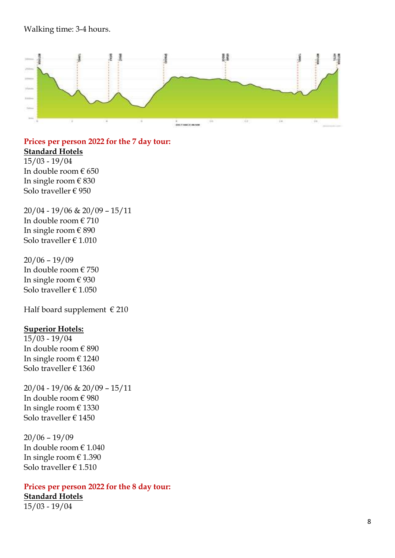### Walking time: 3 - 4 hours.



**Prices per person 202 2 for the 7 day tour : Standard Hotels** 15/03 - 19/04 In double room € 6 5 0

In single room € 830 Solo traveller € 950

20/04 - 19/0 6 & 2 0/09 – 15/11 In double room € 710 In single room € 890 Solo traveller € 1.010

 $20/06 - 19/09$ In double room € 7 5 0 In single room € 930 Solo traveller € 1.050

Half board supplement  $\in$  210

### **Superior Hotels:**

15/03 - 19/04 In double room € 890 In single room € 1240 Solo traveller € 1 360

20/04 - 19/0 6 & 2 0/09 – 15/11 In double room  $\in$  980 In single room € 1330 Solo traveller € 1450

2 0/06 – 19/0 9 In double room € 1.040 In single room € 1 .39 0 Solo traveller € 1.510

### **Prices per person 202 2 for the 8 day tour :**

**Standard Hotels** 15/03 - 19/04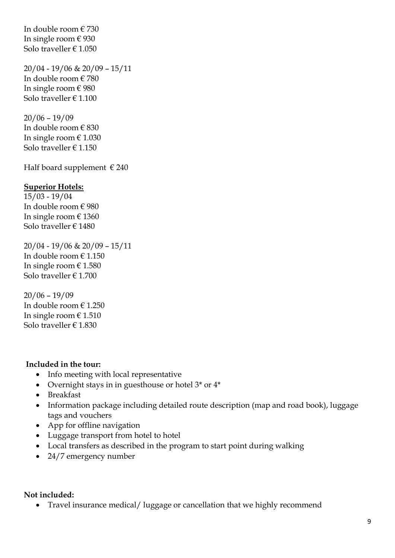In double room € 730 In single room  $\in$  930 Solo traveller € 1.050

20/04 - 19/06 & 20/09 – 15/11 In double room € 780 In single room € 980 Solo traveller € 1.100

 $20/06 - 19/09$ In double room € 830 In single room  $\in 1.030$ Solo traveller  $\in$  1.150

Half board supplement  $\in$  240

### **Superior Hotels:**

15/03 - 19/04 In double room € 980 In single room € 1360 Solo traveller € 1480

20/04 - 19/06 & 20/09 – 15/11 In double room € 1.150 In single room  $\in$  1.580 Solo traveller € 1.700

 $20/06 - 19/09$ In double room € 1.250 In single room  $\in 1.510$ Solo traveller € 1.830

#### **Included in the tour:**

- Info meeting with local representative
- Overnight stays in in guesthouse or hotel  $3^*$  or  $4^*$
- Breakfast
- Information package including detailed route description (map and road book), luggage tags and vouchers
- App for offline navigation
- Luggage transport from hotel to hotel
- Local transfers as described in the program to start point during walking
- 24/7 emergency number

#### **Not included:**

• Travel insurance medical/luggage or cancellation that we highly recommend